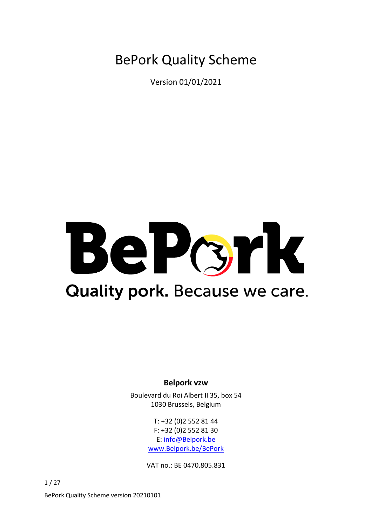BePork Quality Scheme

Version 01/01/2021

# BePcrk **Quality pork.** Because we care.

# **Belpork vzw**

Boulevard du Roi Albert II 35, box 54 1030 Brussels, Belgium

> T: +32 (0)2 552 81 44 F: +32 (0)2 552 81 30 E: [info@Belpork.be](mailto:info@Belpork.be) [www.Belpork.be/BePork](http://www.belpork.be/BePork)

VAT no.: BE 0470.805.831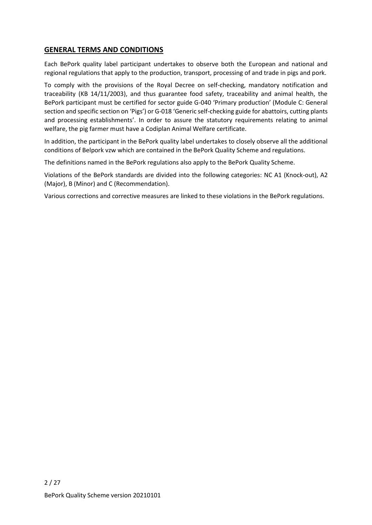## **GENERAL TERMS AND CONDITIONS**

Each BePork quality label participant undertakes to observe both the European and national and regional regulations that apply to the production, transport, processing of and trade in pigs and pork.

To comply with the provisions of the Royal Decree on self-checking, mandatory notification and traceability (KB 14/11/2003), and thus guarantee food safety, traceability and animal health, the BePork participant must be certified for sector guide G-040 'Primary production' (Module C: General section and specific section on 'Pigs') or G-018 'Generic self-checking guide for abattoirs, cutting plants and processing establishments'. In order to assure the statutory requirements relating to animal welfare, the pig farmer must have a Codiplan Animal Welfare certificate.

In addition, the participant in the BePork quality label undertakes to closely observe all the additional conditions of Belpork vzw which are contained in the BePork Quality Scheme and regulations.

The definitions named in the BePork regulations also apply to the BePork Quality Scheme.

Violations of the BePork standards are divided into the following categories: NC A1 (Knock-out), A2 (Major), B (Minor) and C (Recommendation).

Various corrections and corrective measures are linked to these violations in the BePork regulations.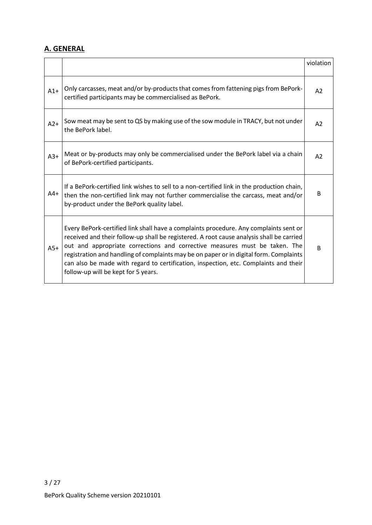# **A. GENERAL**

|       |                                                                                                                                                                                                                                                                                                                                                                                                                                                                                          | violation      |
|-------|------------------------------------------------------------------------------------------------------------------------------------------------------------------------------------------------------------------------------------------------------------------------------------------------------------------------------------------------------------------------------------------------------------------------------------------------------------------------------------------|----------------|
| $A1+$ | Only carcasses, meat and/or by-products that comes from fattening pigs from BePork-<br>certified participants may be commercialised as BePork.                                                                                                                                                                                                                                                                                                                                           | A2             |
| $A2+$ | Sow meat may be sent to QS by making use of the sow module in TRACY, but not under<br>the BePork label.                                                                                                                                                                                                                                                                                                                                                                                  |                |
| $A3+$ | Meat or by-products may only be commercialised under the BePork label via a chain<br>of BePork-certified participants.                                                                                                                                                                                                                                                                                                                                                                   | A <sub>2</sub> |
| $A4+$ | If a BePork-certified link wishes to sell to a non-certified link in the production chain,<br>then the non-certified link may not further commercialise the carcass, meat and/or<br>by-product under the BePork quality label.                                                                                                                                                                                                                                                           | B              |
| $A5+$ | Every BePork-certified link shall have a complaints procedure. Any complaints sent or<br>received and their follow-up shall be registered. A root cause analysis shall be carried<br>out and appropriate corrections and corrective measures must be taken. The<br>registration and handling of complaints may be on paper or in digital form. Complaints<br>can also be made with regard to certification, inspection, etc. Complaints and their<br>follow-up will be kept for 5 years. | B              |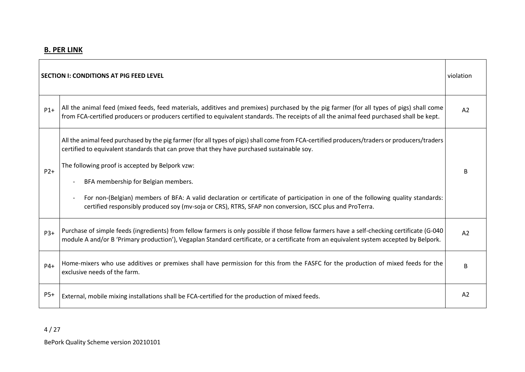| <b>SECTION I: CONDITIONS AT PIG FEED LEVEL</b> |                                                                                                                                                                                                                                                                                                                                                                                                                                                                                                                                                                                     |                |
|------------------------------------------------|-------------------------------------------------------------------------------------------------------------------------------------------------------------------------------------------------------------------------------------------------------------------------------------------------------------------------------------------------------------------------------------------------------------------------------------------------------------------------------------------------------------------------------------------------------------------------------------|----------------|
| $P1+$                                          | All the animal feed (mixed feeds, feed materials, additives and premixes) purchased by the pig farmer (for all types of pigs) shall come<br>from FCA-certified producers or producers certified to equivalent standards. The receipts of all the animal feed purchased shall be kept.                                                                                                                                                                                                                                                                                               | A2             |
| $P2+$                                          | All the animal feed purchased by the pig farmer (for all types of pigs) shall come from FCA-certified producers/traders or producers/traders<br>certified to equivalent standards that can prove that they have purchased sustainable soy.<br>The following proof is accepted by Belpork vzw:<br>BFA membership for Belgian members.<br>For non-(Belgian) members of BFA: A valid declaration or certificate of participation in one of the following quality standards:<br>certified responsibly produced soy (mv-soja or CRS), RTRS, SFAP non conversion, ISCC plus and ProTerra. | B              |
| $P3+$                                          | Purchase of simple feeds (ingredients) from fellow farmers is only possible if those fellow farmers have a self-checking certificate (G-040)<br>module A and/or B 'Primary production'), Vegaplan Standard certificate, or a certificate from an equivalent system accepted by Belpork.                                                                                                                                                                                                                                                                                             | A2             |
| $P4+$                                          | Home-mixers who use additives or premixes shall have permission for this from the FASFC for the production of mixed feeds for the<br>exclusive needs of the farm.                                                                                                                                                                                                                                                                                                                                                                                                                   | B              |
| $P5+$                                          | External, mobile mixing installations shall be FCA-certified for the production of mixed feeds.                                                                                                                                                                                                                                                                                                                                                                                                                                                                                     | A <sub>2</sub> |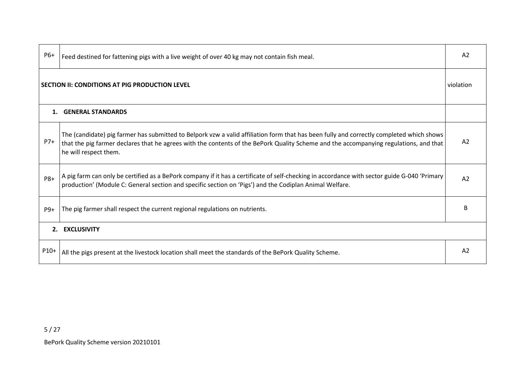| P6+                                            | Feed destined for fattening pigs with a live weight of over 40 kg may not contain fish meal.                                                                                                                                                                                                               |                |
|------------------------------------------------|------------------------------------------------------------------------------------------------------------------------------------------------------------------------------------------------------------------------------------------------------------------------------------------------------------|----------------|
| SECTION II: CONDITIONS AT PIG PRODUCTION LEVEL |                                                                                                                                                                                                                                                                                                            |                |
| 1.                                             | <b>GENERAL STANDARDS</b>                                                                                                                                                                                                                                                                                   |                |
| $P7+$                                          | The (candidate) pig farmer has submitted to Belpork vzw a valid affiliation form that has been fully and correctly completed which shows<br>that the pig farmer declares that he agrees with the contents of the BePork Quality Scheme and the accompanying regulations, and that<br>he will respect them. |                |
| <b>P8+</b>                                     | A pig farm can only be certified as a BePork company if it has a certificate of self-checking in accordance with sector guide G-040 'Primary<br>production' (Module C: General section and specific section on 'Pigs') and the Codiplan Animal Welfare.                                                    | A2             |
| P9+                                            | The pig farmer shall respect the current regional regulations on nutrients.                                                                                                                                                                                                                                |                |
|                                                | 2. EXCLUSIVITY                                                                                                                                                                                                                                                                                             |                |
| P10+                                           | All the pigs present at the livestock location shall meet the standards of the BePork Quality Scheme.                                                                                                                                                                                                      | A <sub>2</sub> |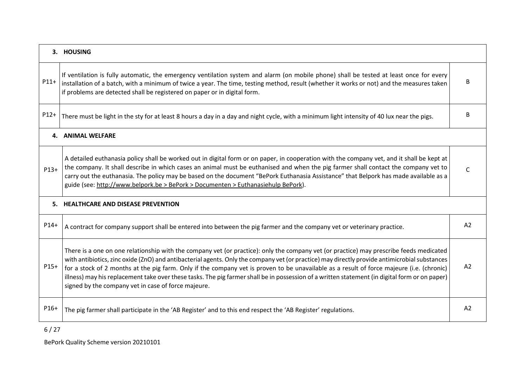|        | 3. HOUSING                                                                                                                                                                                                                                                                                                                                                                                                                                                                                                                                                                                                                                     |                |  |
|--------|------------------------------------------------------------------------------------------------------------------------------------------------------------------------------------------------------------------------------------------------------------------------------------------------------------------------------------------------------------------------------------------------------------------------------------------------------------------------------------------------------------------------------------------------------------------------------------------------------------------------------------------------|----------------|--|
| $P11+$ | If ventilation is fully automatic, the emergency ventilation system and alarm (on mobile phone) shall be tested at least once for every<br>installation of a batch, with a minimum of twice a year. The time, testing method, result (whether it works or not) and the measures taken<br>if problems are detected shall be registered on paper or in digital form.                                                                                                                                                                                                                                                                             | B              |  |
| $P12+$ | There must be light in the sty for at least 8 hours a day in a day and night cycle, with a minimum light intensity of 40 lux near the pigs.                                                                                                                                                                                                                                                                                                                                                                                                                                                                                                    |                |  |
|        | 4. ANIMAL WELFARE                                                                                                                                                                                                                                                                                                                                                                                                                                                                                                                                                                                                                              |                |  |
| $P13+$ | A detailed euthanasia policy shall be worked out in digital form or on paper, in cooperation with the company vet, and it shall be kept at<br>the company. It shall describe in which cases an animal must be euthanised and when the pig farmer shall contact the company vet to<br>carry out the euthanasia. The policy may be based on the document "BePork Euthanasia Assistance" that Belpork has made available as a<br>guide (see: http://www.belpork.be > BePork > Documenten > Euthanasiehulp BePork).                                                                                                                                | $\Gamma$       |  |
|        | 5. HEALTHCARE AND DISEASE PREVENTION                                                                                                                                                                                                                                                                                                                                                                                                                                                                                                                                                                                                           |                |  |
| $P14+$ | A contract for company support shall be entered into between the pig farmer and the company vet or veterinary practice.                                                                                                                                                                                                                                                                                                                                                                                                                                                                                                                        | A2             |  |
| $P15+$ | There is a one on one relationship with the company vet (or practice): only the company vet (or practice) may prescribe feeds medicated<br>with antibiotics, zinc oxide (ZnO) and antibacterial agents. Only the company vet (or practice) may directly provide antimicrobial substances<br>for a stock of 2 months at the pig farm. Only if the company vet is proven to be unavailable as a result of force majeure (i.e. (chronic)<br>illness) may his replacement take over these tasks. The pig farmer shall be in possession of a written statement (in digital form or on paper)<br>signed by the company vet in case of force majeure. | A2             |  |
| P16+   | The pig farmer shall participate in the 'AB Register' and to this end respect the 'AB Register' regulations.                                                                                                                                                                                                                                                                                                                                                                                                                                                                                                                                   | A <sub>2</sub> |  |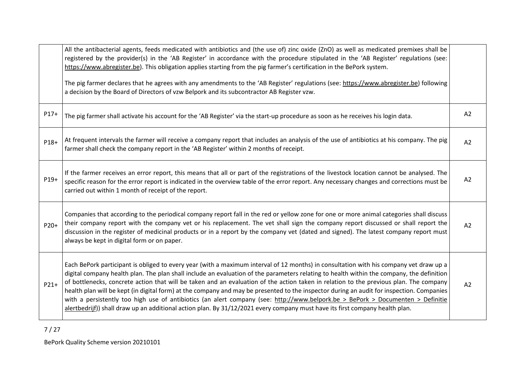|        | All the antibacterial agents, feeds medicated with antibiotics and (the use of) zinc oxide (ZnO) as well as medicated premixes shall be<br>registered by the provider(s) in the 'AB Register' in accordance with the procedure stipulated in the 'AB Register' regulations (see:<br>https://www.abregister.be). This obligation applies starting from the pig farmer's certification in the BePork system.<br>The pig farmer declares that he agrees with any amendments to the 'AB Register' regulations (see: https://www.abregister.be) following<br>a decision by the Board of Directors of vzw Belpork and its subcontractor AB Register vzw.                                                                                                                                                                                            |    |
|--------|-----------------------------------------------------------------------------------------------------------------------------------------------------------------------------------------------------------------------------------------------------------------------------------------------------------------------------------------------------------------------------------------------------------------------------------------------------------------------------------------------------------------------------------------------------------------------------------------------------------------------------------------------------------------------------------------------------------------------------------------------------------------------------------------------------------------------------------------------|----|
| $P17+$ | The pig farmer shall activate his account for the 'AB Register' via the start-up procedure as soon as he receives his login data.                                                                                                                                                                                                                                                                                                                                                                                                                                                                                                                                                                                                                                                                                                             | A2 |
| P18+   | At frequent intervals the farmer will receive a company report that includes an analysis of the use of antibiotics at his company. The pig<br>farmer shall check the company report in the 'AB Register' within 2 months of receipt.                                                                                                                                                                                                                                                                                                                                                                                                                                                                                                                                                                                                          |    |
| P19+   | If the farmer receives an error report, this means that all or part of the registrations of the livestock location cannot be analysed. The<br>specific reason for the error report is indicated in the overview table of the error report. Any necessary changes and corrections must be<br>carried out within 1 month of receipt of the report.                                                                                                                                                                                                                                                                                                                                                                                                                                                                                              | A2 |
| $P20+$ | Companies that according to the periodical company report fall in the red or yellow zone for one or more animal categories shall discuss<br>their company report with the company vet or his replacement. The vet shall sign the company report discussed or shall report the<br>discussion in the register of medicinal products or in a report by the company vet (dated and signed). The latest company report must<br>always be kept in digital form or on paper.                                                                                                                                                                                                                                                                                                                                                                         | A2 |
| $P21+$ | Each BePork participant is obliged to every year (with a maximum interval of 12 months) in consultation with his company vet draw up a<br>digital company health plan. The plan shall include an evaluation of the parameters relating to health within the company, the definition<br>of bottlenecks, concrete action that will be taken and an evaluation of the action taken in relation to the previous plan. The company<br>health plan will be kept (in digital form) at the company and may be presented to the inspector during an audit for inspection. Companies<br>with a persistently too high use of antibiotics (an alert company (see: http://www.belpork.be > BePork > Documenten > Definitie<br>alertbedrijf)) shall draw up an additional action plan. By 31/12/2021 every company must have its first company health plan. | A2 |

7 / 27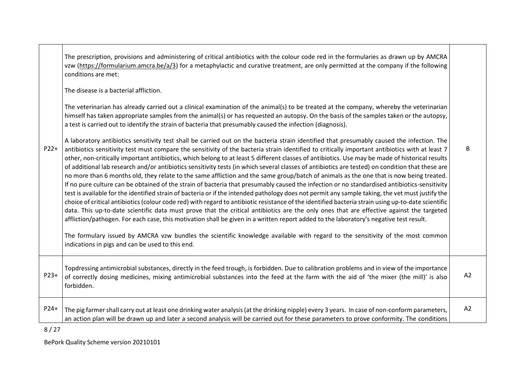| $P22+$ | The prescription, provisions and administering of critical antibiotics with the colour code red in the formularies as drawn up by AMCRA<br>vzw (https://formularium.amcra.be/a/3) for a metaphylactic and curative treatment, are only permitted at the company if the following<br>conditions are met:<br>The disease is a bacterial affliction.<br>The veterinarian has already carried out a clinical examination of the animal(s) to be treated at the company, whereby the veterinarian<br>himself has taken appropriate samples from the animal(s) or has requested an autopsy. On the basis of the samples taken or the autopsy,<br>a test is carried out to identify the strain of bacteria that presumably caused the infection (diagnosis).<br>A laboratory antibiotics sensitivity test shall be carried out on the bacteria strain identified that presumably caused the infection. The<br>antibiotics sensitivity test must compare the sensitivity of the bacteria strain identified to critically important antibiotics with at least 7<br>other, non-critically important antibiotics, which belong to at least 5 different classes of antibiotics. Use may be made of historical results<br>of additional lab research and/or antibiotics sensitivity tests (in which several classes of antibiotics are tested) on condition that these are<br>no more than 6 months old, they relate to the same affliction and the same group/batch of animals as the one that is now being treated.<br>If no pure culture can be obtained of the strain of bacteria that presumably caused the infection or no standardised antibiotics-sensitivity<br>test is available for the identified strain of bacteria or if the intended pathology does not permit any sample taking, the vet must justify the<br>choice of critical antibiotics (colour code red) with regard to antibiotic resistance of the identified bacteria strain using up-to-date scientific<br>data. This up-to-date scientific data must prove that the critical antibiotics are the only ones that are effective against the targeted<br>affliction/pathogen. For each case, this motivation shall be given in a written report added to the laboratory's negative test result.<br>The formulary issued by AMCRA vzw bundles the scientific knowledge available with regard to the sensitivity of the most common<br>indications in pigs and can be used to this end. | R  |
|--------|-------------------------------------------------------------------------------------------------------------------------------------------------------------------------------------------------------------------------------------------------------------------------------------------------------------------------------------------------------------------------------------------------------------------------------------------------------------------------------------------------------------------------------------------------------------------------------------------------------------------------------------------------------------------------------------------------------------------------------------------------------------------------------------------------------------------------------------------------------------------------------------------------------------------------------------------------------------------------------------------------------------------------------------------------------------------------------------------------------------------------------------------------------------------------------------------------------------------------------------------------------------------------------------------------------------------------------------------------------------------------------------------------------------------------------------------------------------------------------------------------------------------------------------------------------------------------------------------------------------------------------------------------------------------------------------------------------------------------------------------------------------------------------------------------------------------------------------------------------------------------------------------------------------------------------------------------------------------------------------------------------------------------------------------------------------------------------------------------------------------------------------------------------------------------------------------------------------------------------------------------------------------------------------------------------------------------------------------------------------------------------------------------------------------------------------------------|----|
| $P23+$ | Topdressing antimicrobial substances, directly in the feed trough, is forbidden. Due to calibration problems and in view of the importance<br>of correctly dosing medicines, mixing antimicrobial substances into the feed at the farm with the aid of 'the mixer (the mill)' is also<br>forbidden.                                                                                                                                                                                                                                                                                                                                                                                                                                                                                                                                                                                                                                                                                                                                                                                                                                                                                                                                                                                                                                                                                                                                                                                                                                                                                                                                                                                                                                                                                                                                                                                                                                                                                                                                                                                                                                                                                                                                                                                                                                                                                                                                             | A2 |
| P24+   | The pig farmer shall carry out at least one drinking water analysis (at the drinking nipple) every 3 years. In case of non-conform parameters,<br>an action plan will be drawn up and later a second analysis will be carried out for these parameters to prove conformity. The conditions                                                                                                                                                                                                                                                                                                                                                                                                                                                                                                                                                                                                                                                                                                                                                                                                                                                                                                                                                                                                                                                                                                                                                                                                                                                                                                                                                                                                                                                                                                                                                                                                                                                                                                                                                                                                                                                                                                                                                                                                                                                                                                                                                      | A2 |

 $\top$ 

8 / 27

 $\Gamma$ 

┱

BePork Quality Scheme version 20210101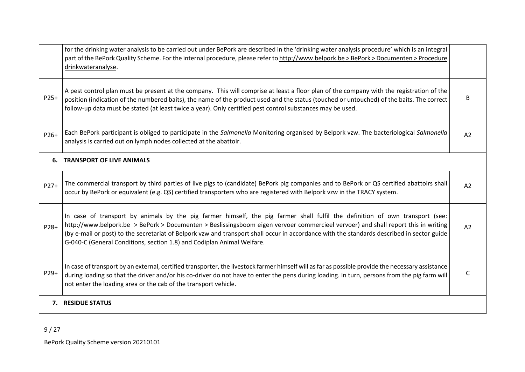|        | for the drinking water analysis to be carried out under BePork are described in the 'drinking water analysis procedure' which is an integral<br>part of the BePork Quality Scheme. For the internal procedure, please refer to http://www.belpork.be > BePork > Documenten > Procedure<br>drinkwateranalyse.                                                                                                                                                                              |    |
|--------|-------------------------------------------------------------------------------------------------------------------------------------------------------------------------------------------------------------------------------------------------------------------------------------------------------------------------------------------------------------------------------------------------------------------------------------------------------------------------------------------|----|
| $P25+$ | A pest control plan must be present at the company. This will comprise at least a floor plan of the company with the registration of the<br>position (indication of the numbered baits), the name of the product used and the status (touched or untouched) of the baits. The correct<br>follow-up data must be stated (at least twice a year). Only certified pest control substances may be used.                                                                                       | B  |
| P26+   | Each BePork participant is obliged to participate in the Salmonella Monitoring organised by Belpork vzw. The bacteriological Salmonella<br>analysis is carried out on lymph nodes collected at the abattoir.                                                                                                                                                                                                                                                                              | A2 |
|        | <b>6. TRANSPORT OF LIVE ANIMALS</b>                                                                                                                                                                                                                                                                                                                                                                                                                                                       |    |
| $P27+$ | The commercial transport by third parties of live pigs to (candidate) BePork pig companies and to BePork or QS certified abattoirs shall<br>occur by BePork or equivalent (e.g. QS) certified transporters who are registered with Belpork vzw in the TRACY system.                                                                                                                                                                                                                       | A2 |
| P28+   | In case of transport by animals by the pig farmer himself, the pig farmer shall fulfil the definition of own transport (see:<br>http://www.belpork.be > BePork > Documenten > Beslissingsboom eigen vervoer commercieel vervoer) and shall report this in writing<br>(by e-mail or post) to the secretariat of Belpork vzw and transport shall occur in accordance with the standards described in sector guide<br>G-040-C (General Conditions, section 1.8) and Codiplan Animal Welfare. | A2 |
| P29+   | In case of transport by an external, certified transporter, the livestock farmer himself will as far as possible provide the necessary assistance<br>during loading so that the driver and/or his co-driver do not have to enter the pens during loading. In turn, persons from the pig farm will<br>not enter the loading area or the cab of the transport vehicle.                                                                                                                      | C  |
|        | 7. RESIDUE STATUS                                                                                                                                                                                                                                                                                                                                                                                                                                                                         |    |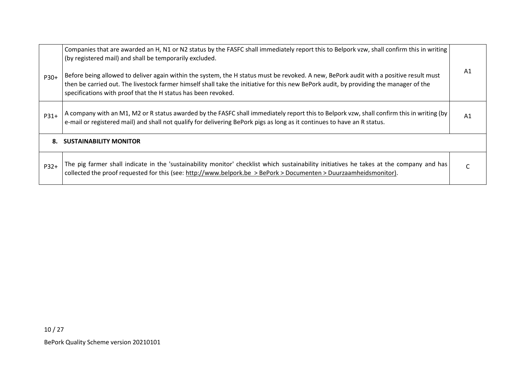|        | Companies that are awarded an H, N1 or N2 status by the FASFC shall immediately report this to Belpork vzw, shall confirm this in writing<br>(by registered mail) and shall be temporarily excluded.                                                                                                                                              |    |
|--------|---------------------------------------------------------------------------------------------------------------------------------------------------------------------------------------------------------------------------------------------------------------------------------------------------------------------------------------------------|----|
| P30+   | Before being allowed to deliver again within the system, the H status must be revoked. A new, BePork audit with a positive result must<br>then be carried out. The livestock farmer himself shall take the initiative for this new BePork audit, by providing the manager of the<br>specifications with proof that the H status has been revoked. | A1 |
| $P31+$ | A company with an M1, M2 or R status awarded by the FASFC shall immediately report this to Belpork vzw, shall confirm this in writing (by  <br>e-mail or registered mail) and shall not qualify for delivering BePork pigs as long as it continues to have an R status.                                                                           | A1 |
| 8.     | <b>SUSTAINABILITY MONITOR</b>                                                                                                                                                                                                                                                                                                                     |    |
| $P32+$ | The pig farmer shall indicate in the 'sustainability monitor' checklist which sustainability initiatives he takes at the company and has<br>collected the proof requested for this (see: http://www.belpork.be > BePork > Documenten > Duurzaamheidsmonitor).                                                                                     |    |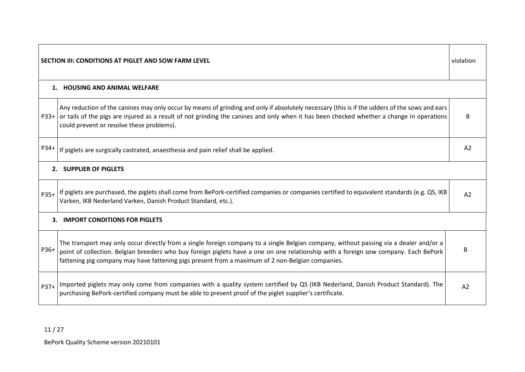| SECTION III: CONDITIONS AT PIGLET AND SOW FARM LEVEL |                                                                                                                                                                                                                                                                                                                                                                                    |    |  |
|------------------------------------------------------|------------------------------------------------------------------------------------------------------------------------------------------------------------------------------------------------------------------------------------------------------------------------------------------------------------------------------------------------------------------------------------|----|--|
|                                                      | 1. HOUSING AND ANIMAL WELFARE                                                                                                                                                                                                                                                                                                                                                      |    |  |
| $P33+$                                               | Any reduction of the canines may only occur by means of grinding and only if absolutely necessary (this is if the udders of the sows and ears<br>or tails of the pigs are injured as a result of not grinding the canines and only when it has been checked whether a change in operations<br>could prevent or resolve these problems).                                            | B  |  |
| P34+                                                 | If piglets are surgically castrated, anaesthesia and pain relief shall be applied.                                                                                                                                                                                                                                                                                                 | A2 |  |
|                                                      | 2. SUPPLIER OF PIGLETS                                                                                                                                                                                                                                                                                                                                                             |    |  |
| P35+                                                 | If piglets are purchased, the piglets shall come from BePork-certified companies or companies certified to equivalent standards (e.g. QS, IKB<br>Varken, IKB Nederland Varken, Danish Product Standard, etc.).                                                                                                                                                                     | A2 |  |
|                                                      | 3. IMPORT CONDITIONS FOR PIGLETS                                                                                                                                                                                                                                                                                                                                                   |    |  |
| P36+                                                 | The transport may only occur directly from a single foreign company to a single Belgian company, without passing via a dealer and/or a<br>point of collection. Belgian breeders who buy foreign piglets have a one on one relationship with a foreign sow company. Each BePork<br>fattening pig company may have fattening pigs present from a maximum of 2 non-Belgian companies. | B  |  |
| $P37+$                                               | Imported piglets may only come from companies with a quality system certified by QS (IKB Nederland, Danish Product Standard). The<br>purchasing BePork-certified company must be able to present proof of the piglet supplier's certificate.                                                                                                                                       | A2 |  |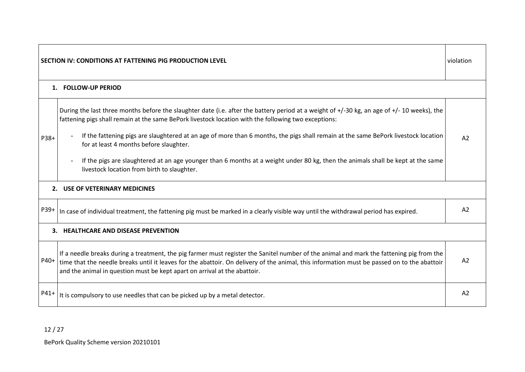| violation<br>SECTION IV: CONDITIONS AT FATTENING PIG PRODUCTION LEVEL |                                                                                                                                                                                                                                                                                                                                                                      |                |  |
|-----------------------------------------------------------------------|----------------------------------------------------------------------------------------------------------------------------------------------------------------------------------------------------------------------------------------------------------------------------------------------------------------------------------------------------------------------|----------------|--|
|                                                                       | 1. FOLLOW-UP PERIOD                                                                                                                                                                                                                                                                                                                                                  |                |  |
|                                                                       | During the last three months before the slaughter date (i.e. after the battery period at a weight of +/-30 kg, an age of +/-10 weeks), the<br>fattening pigs shall remain at the same BePork livestock location with the following two exceptions:                                                                                                                   |                |  |
| P38+                                                                  | If the fattening pigs are slaughtered at an age of more than 6 months, the pigs shall remain at the same BePork livestock location<br>for at least 4 months before slaughter.                                                                                                                                                                                        | A2             |  |
|                                                                       | If the pigs are slaughtered at an age younger than 6 months at a weight under 80 kg, then the animals shall be kept at the same<br>livestock location from birth to slaughter.                                                                                                                                                                                       |                |  |
|                                                                       | 2. USE OF VETERINARY MEDICINES                                                                                                                                                                                                                                                                                                                                       |                |  |
| P39+                                                                  | In case of individual treatment, the fattening pig must be marked in a clearly visible way until the withdrawal period has expired.                                                                                                                                                                                                                                  | A <sub>2</sub> |  |
|                                                                       | 3. HEALTHCARE AND DISEASE PREVENTION                                                                                                                                                                                                                                                                                                                                 |                |  |
| P40+                                                                  | If a needle breaks during a treatment, the pig farmer must register the Sanitel number of the animal and mark the fattening pig from the<br>time that the needle breaks until it leaves for the abattoir. On delivery of the animal, this information must be passed on to the abattoir<br>and the animal in question must be kept apart on arrival at the abattoir. | A2             |  |
| P41+                                                                  | It is compulsory to use needles that can be picked up by a metal detector.                                                                                                                                                                                                                                                                                           | A2             |  |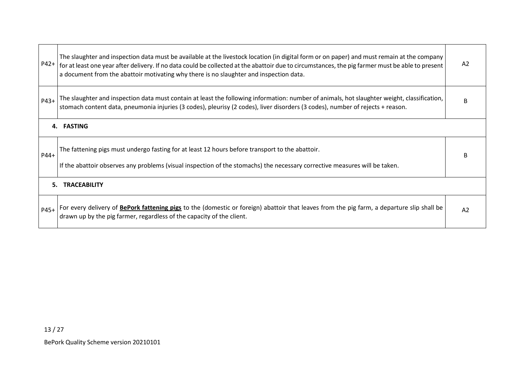| P42+   | The slaughter and inspection data must be available at the livestock location (in digital form or on paper) and must remain at the company<br>for at least one year after delivery. If no data could be collected at the abattoir due to circumstances, the pig farmer must be able to present<br>a document from the abattoir motivating why there is no slaughter and inspection data. |    |  |  |  |
|--------|------------------------------------------------------------------------------------------------------------------------------------------------------------------------------------------------------------------------------------------------------------------------------------------------------------------------------------------------------------------------------------------|----|--|--|--|
| $P43+$ | The slaughter and inspection data must contain at least the following information: number of animals, hot slaughter weight, classification,<br>stomach content data, pneumonia injuries (3 codes), pleurisy (2 codes), liver disorders (3 codes), number of rejects + reason.                                                                                                            |    |  |  |  |
|        | 4. FASTING                                                                                                                                                                                                                                                                                                                                                                               |    |  |  |  |
| P44+   | The fattening pigs must undergo fasting for at least 12 hours before transport to the abattoir.<br>If the abattoir observes any problems (visual inspection of the stomachs) the necessary corrective measures will be taken.                                                                                                                                                            |    |  |  |  |
| 5.     | <b>TRACEABILITY</b>                                                                                                                                                                                                                                                                                                                                                                      |    |  |  |  |
| P45+   | For every delivery of BePork fattening pigs to the (domestic or foreign) abattoir that leaves from the pig farm, a departure slip shall be<br>drawn up by the pig farmer, regardless of the capacity of the client.                                                                                                                                                                      | A2 |  |  |  |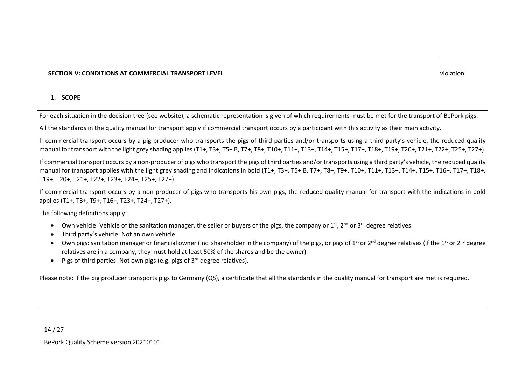### **SECTION V: CONDITIONS AT COMMERCIAL TRANSPORT LEVEL** violation

#### **1. SCOPE**

For each situation in the decision tree (see website), a schematic representation is given of which requirements must be met for the transport of BePork pigs.

All the standards in the quality manual for transport apply if commercial transport occurs by a participant with this activity as their main activity.

If commercial transport occurs by a pig producer who transports the pigs of third parties and/or transports using a third party's vehicle, the reduced quality manual for transport with the light grey shading applies (T1+, T3+, T5+ B, T7+, T8+, T10+, T11+, T13+, T14+, T15+, T17+, T18+, T19+, T20+, T21+, T22+, T25+, T27+).

If commercial transport occurs by a non-producer of pigs who transport the pigs of third parties and/or transports using a third party's vehicle, the reduced quality manual for transport applies with the light grey shading and indications in bold (T1+, T3+, T5+ B, T7+, T8+, T9+, T10+, T11+, T13+, T14+, T15+, T16+, T17+, T18+, T19+, T20+, T21+, T22+, T23+, T24+, T25+, T27+).

If commercial transport occurs by a non-producer of pigs who transports his own pigs, the reduced quality manual for transport with the indications in bold applies (T1+, T3+, T9+, T16+, T23+, T24+, T27+).

The following definitions apply:

- Own vehicle: Vehicle of the sanitation manager, the seller or buyers of the pigs, the company or 1<sup>st</sup>, 2<sup>nd</sup> or 3<sup>rd</sup> degree relatives
- Third party's vehicle: Not an own vehicle
- Own pigs: sanitation manager or financial owner (inc. shareholder in the company) of the pigs, or pigs of 1<sup>st</sup> or 2<sup>nd</sup> degree relatives (if the 1<sup>st</sup> or 2<sup>nd</sup> degree relatives are in a company, they must hold at least 50% of the shares and be the owner)
- Pigs of third parties: Not own pigs (e.g. pigs of  $3<sup>rd</sup>$  degree relatives).

Please note: if the pig producer transports pigs to Germany (QS), a certificate that all the standards in the quality manual for transport are met is required.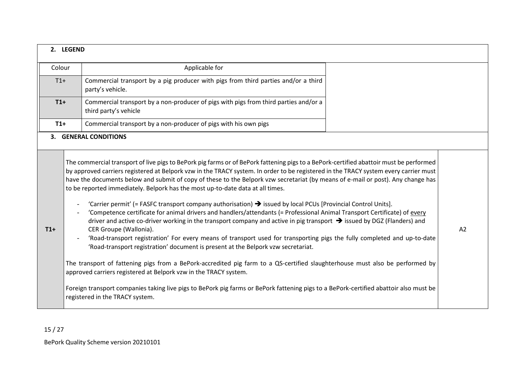|        | 2. LEGEND |                                                                                                                                                                                                                                                                                                                                                                                                                                                                                                                                                                                                                                                                                                                                                                                                                                                                                                                                                                                                                                                                                                                                                                                                                                                                                                                                                                                                                                                                                                                                  |    |
|--------|-----------|----------------------------------------------------------------------------------------------------------------------------------------------------------------------------------------------------------------------------------------------------------------------------------------------------------------------------------------------------------------------------------------------------------------------------------------------------------------------------------------------------------------------------------------------------------------------------------------------------------------------------------------------------------------------------------------------------------------------------------------------------------------------------------------------------------------------------------------------------------------------------------------------------------------------------------------------------------------------------------------------------------------------------------------------------------------------------------------------------------------------------------------------------------------------------------------------------------------------------------------------------------------------------------------------------------------------------------------------------------------------------------------------------------------------------------------------------------------------------------------------------------------------------------|----|
| Colour |           | Applicable for                                                                                                                                                                                                                                                                                                                                                                                                                                                                                                                                                                                                                                                                                                                                                                                                                                                                                                                                                                                                                                                                                                                                                                                                                                                                                                                                                                                                                                                                                                                   |    |
| $T1+$  |           | Commercial transport by a pig producer with pigs from third parties and/or a third<br>party's vehicle.                                                                                                                                                                                                                                                                                                                                                                                                                                                                                                                                                                                                                                                                                                                                                                                                                                                                                                                                                                                                                                                                                                                                                                                                                                                                                                                                                                                                                           |    |
| $T1+$  |           | Commercial transport by a non-producer of pigs with pigs from third parties and/or a<br>third party's vehicle                                                                                                                                                                                                                                                                                                                                                                                                                                                                                                                                                                                                                                                                                                                                                                                                                                                                                                                                                                                                                                                                                                                                                                                                                                                                                                                                                                                                                    |    |
| $T1+$  |           | Commercial transport by a non-producer of pigs with his own pigs                                                                                                                                                                                                                                                                                                                                                                                                                                                                                                                                                                                                                                                                                                                                                                                                                                                                                                                                                                                                                                                                                                                                                                                                                                                                                                                                                                                                                                                                 |    |
|        |           | <b>3. GENERAL CONDITIONS</b>                                                                                                                                                                                                                                                                                                                                                                                                                                                                                                                                                                                                                                                                                                                                                                                                                                                                                                                                                                                                                                                                                                                                                                                                                                                                                                                                                                                                                                                                                                     |    |
| $T1+$  |           | The commercial transport of live pigs to BePork pig farms or of BePork fattening pigs to a BePork-certified abattoir must be performed<br>by approved carriers registered at Belpork vzw in the TRACY system. In order to be registered in the TRACY system every carrier must<br>have the documents below and submit of copy of these to the Belpork vzw secretariat (by means of e-mail or post). Any change has<br>to be reported immediately. Belpork has the most up-to-date data at all times.<br>'Carrier permit' (= FASFC transport company authorisation) $\rightarrow$ issued by local PCUs [Provincial Control Units].<br>'Competence certificate for animal drivers and handlers/attendants (= Professional Animal Transport Certificate) of every<br>driver and active co-driver working in the transport company and active in pig transport $\rightarrow$ issued by DGZ (Flanders) and<br>CER Groupe (Wallonia).<br>'Road-transport registration' For every means of transport used for transporting pigs the fully completed and up-to-date<br>'Road-transport registration' document is present at the Belpork vzw secretariat.<br>The transport of fattening pigs from a BePork-accredited pig farm to a QS-certified slaughterhouse must also be performed by<br>approved carriers registered at Belpork vzw in the TRACY system.<br>Foreign transport companies taking live pigs to BePork pig farms or BePork fattening pigs to a BePork-certified abattoir also must be<br>registered in the TRACY system. | A2 |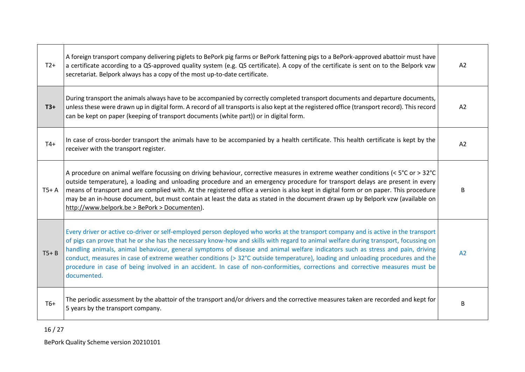| $T2+$    | A foreign transport company delivering piglets to BePork pig farms or BePork fattening pigs to a BePork-approved abattoir must have<br>a certificate according to a QS-approved quality system (e.g. QS certificate). A copy of the certificate is sent on to the Belpork vzw<br>secretariat. Belpork always has a copy of the most up-to-date certificate.                                                                                                                                                                                                                                                                                                                                   |   |  |  |
|----------|-----------------------------------------------------------------------------------------------------------------------------------------------------------------------------------------------------------------------------------------------------------------------------------------------------------------------------------------------------------------------------------------------------------------------------------------------------------------------------------------------------------------------------------------------------------------------------------------------------------------------------------------------------------------------------------------------|---|--|--|
| $T3+$    | During transport the animals always have to be accompanied by correctly completed transport documents and departure documents,<br>unless these were drawn up in digital form. A record of all transports is also kept at the registered office (transport record). This record<br>can be kept on paper (keeping of transport documents (white part)) or in digital form.                                                                                                                                                                                                                                                                                                                      |   |  |  |
| $T4+$    | In case of cross-border transport the animals have to be accompanied by a health certificate. This health certificate is kept by the<br>receiver with the transport register.                                                                                                                                                                                                                                                                                                                                                                                                                                                                                                                 |   |  |  |
| $T5+ A$  | A procedure on animal welfare focussing on driving behaviour, corrective measures in extreme weather conditions (< $5^{\circ}$ C or > 32 $^{\circ}$ C<br>outside temperature), a loading and unloading procedure and an emergency procedure for transport delays are present in every<br>means of transport and are complied with. At the registered office a version is also kept in digital form or on paper. This procedure<br>may be an in-house document, but must contain at least the data as stated in the document drawn up by Belpork vzw (available on<br>http://www.belpork.be > BePork > Documenten).                                                                            |   |  |  |
| $T5 + B$ | Every driver or active co-driver or self-employed person deployed who works at the transport company and is active in the transport<br>of pigs can prove that he or she has the necessary know-how and skills with regard to animal welfare during transport, focussing on<br>handling animals, animal behaviour, general symptoms of disease and animal welfare indicators such as stress and pain, driving<br>conduct, measures in case of extreme weather conditions (> 32°C outside temperature), loading and unloading procedures and the<br>procedure in case of being involved in an accident. In case of non-conformities, corrections and corrective measures must be<br>documented. |   |  |  |
| $T6+$    | The periodic assessment by the abattoir of the transport and/or drivers and the corrective measures taken are recorded and kept for<br>5 years by the transport company.                                                                                                                                                                                                                                                                                                                                                                                                                                                                                                                      | B |  |  |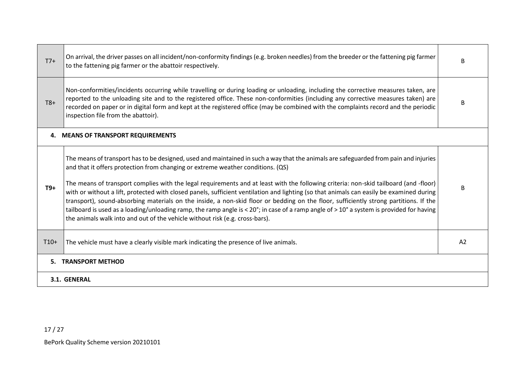| $T7+$  | On arrival, the driver passes on all incident/non-conformity findings (e.g. broken needles) from the breeder or the fattening pig farmer<br>B<br>to the fattening pig farmer or the abattoir respectively.                                                                                                                                                                                                                                                                                                                                                                                                                                                                                                                                                                                                                                                                        |                |
|--------|-----------------------------------------------------------------------------------------------------------------------------------------------------------------------------------------------------------------------------------------------------------------------------------------------------------------------------------------------------------------------------------------------------------------------------------------------------------------------------------------------------------------------------------------------------------------------------------------------------------------------------------------------------------------------------------------------------------------------------------------------------------------------------------------------------------------------------------------------------------------------------------|----------------|
| $T8+$  | Non-conformities/incidents occurring while travelling or during loading or unloading, including the corrective measures taken, are<br>reported to the unloading site and to the registered office. These non-conformities (including any corrective measures taken) are<br>recorded on paper or in digital form and kept at the registered office (may be combined with the complaints record and the periodic<br>inspection file from the abattoir).                                                                                                                                                                                                                                                                                                                                                                                                                             |                |
|        | 4. MEANS OF TRANSPORT REQUIREMENTS                                                                                                                                                                                                                                                                                                                                                                                                                                                                                                                                                                                                                                                                                                                                                                                                                                                |                |
| $T9+$  | The means of transport has to be designed, used and maintained in such a way that the animals are safeguarded from pain and injuries<br>and that it offers protection from changing or extreme weather conditions. (QS)<br>The means of transport complies with the legal requirements and at least with the following criteria: non-skid tailboard (and -floor)<br>with or without a lift, protected with closed panels, sufficient ventilation and lighting (so that animals can easily be examined during<br>transport), sound-absorbing materials on the inside, a non-skid floor or bedding on the floor, sufficiently strong partitions. If the<br>tailboard is used as a loading/unloading ramp, the ramp angle is < 20°; in case of a ramp angle of > 10° a system is provided for having<br>the animals walk into and out of the vehicle without risk (e.g. cross-bars). | В              |
| $T10+$ | The vehicle must have a clearly visible mark indicating the presence of live animals.                                                                                                                                                                                                                                                                                                                                                                                                                                                                                                                                                                                                                                                                                                                                                                                             | A <sub>2</sub> |
| 5.     | <b>TRANSPORT METHOD</b>                                                                                                                                                                                                                                                                                                                                                                                                                                                                                                                                                                                                                                                                                                                                                                                                                                                           |                |
|        | 3.1. GENERAL                                                                                                                                                                                                                                                                                                                                                                                                                                                                                                                                                                                                                                                                                                                                                                                                                                                                      |                |

17 / 27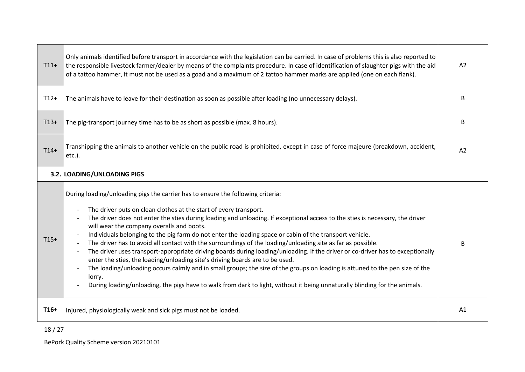| $T11+$                      | Only animals identified before transport in accordance with the legislation can be carried. In case of problems this is also reported to<br>the responsible livestock farmer/dealer by means of the complaints procedure. In case of identification of slaughter pigs with the aid<br>of a tattoo hammer, it must not be used as a goad and a maximum of 2 tattoo hammer marks are applied (one on each flank).                                                                                                                                                                                                                                                                                                                                                                                                                                                                                                                                                                                                                                        |   |  |  |  |  |
|-----------------------------|--------------------------------------------------------------------------------------------------------------------------------------------------------------------------------------------------------------------------------------------------------------------------------------------------------------------------------------------------------------------------------------------------------------------------------------------------------------------------------------------------------------------------------------------------------------------------------------------------------------------------------------------------------------------------------------------------------------------------------------------------------------------------------------------------------------------------------------------------------------------------------------------------------------------------------------------------------------------------------------------------------------------------------------------------------|---|--|--|--|--|
| $T12+$                      | The animals have to leave for their destination as soon as possible after loading (no unnecessary delays).                                                                                                                                                                                                                                                                                                                                                                                                                                                                                                                                                                                                                                                                                                                                                                                                                                                                                                                                             | B |  |  |  |  |
| $T13+$                      | The pig-transport journey time has to be as short as possible (max. 8 hours).                                                                                                                                                                                                                                                                                                                                                                                                                                                                                                                                                                                                                                                                                                                                                                                                                                                                                                                                                                          | B |  |  |  |  |
| $T14+$                      | Transhipping the animals to another vehicle on the public road is prohibited, except in case of force majeure (breakdown, accident,<br>$etc.$ ).                                                                                                                                                                                                                                                                                                                                                                                                                                                                                                                                                                                                                                                                                                                                                                                                                                                                                                       |   |  |  |  |  |
| 3.2. LOADING/UNLOADING PIGS |                                                                                                                                                                                                                                                                                                                                                                                                                                                                                                                                                                                                                                                                                                                                                                                                                                                                                                                                                                                                                                                        |   |  |  |  |  |
| $T15+$                      | During loading/unloading pigs the carrier has to ensure the following criteria:<br>The driver puts on clean clothes at the start of every transport.<br>The driver does not enter the sties during loading and unloading. If exceptional access to the sties is necessary, the driver<br>will wear the company overalls and boots.<br>Individuals belonging to the pig farm do not enter the loading space or cabin of the transport vehicle.<br>The driver has to avoid all contact with the surroundings of the loading/unloading site as far as possible.<br>The driver uses transport-appropriate driving boards during loading/unloading. If the driver or co-driver has to exceptionally<br>enter the sties, the loading/unloading site's driving boards are to be used.<br>The loading/unloading occurs calmly and in small groups; the size of the groups on loading is attuned to the pen size of the<br>lorry.<br>During loading/unloading, the pigs have to walk from dark to light, without it being unnaturally blinding for the animals. |   |  |  |  |  |
| $T16+$                      | Injured, physiologically weak and sick pigs must not be loaded.                                                                                                                                                                                                                                                                                                                                                                                                                                                                                                                                                                                                                                                                                                                                                                                                                                                                                                                                                                                        |   |  |  |  |  |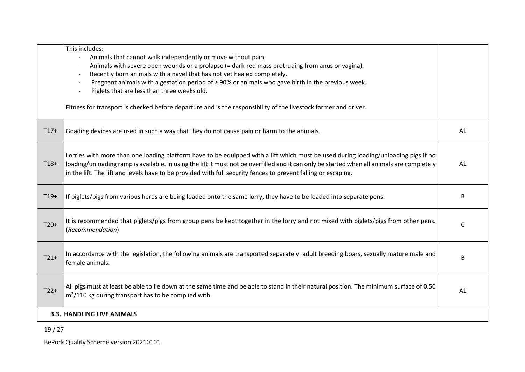|        | This includes:<br>Animals that cannot walk independently or move without pain.                                                                                                                                                                                                                                                                                                                      |    |
|--------|-----------------------------------------------------------------------------------------------------------------------------------------------------------------------------------------------------------------------------------------------------------------------------------------------------------------------------------------------------------------------------------------------------|----|
|        | Animals with severe open wounds or a prolapse (= dark-red mass protruding from anus or vagina).<br>Recently born animals with a navel that has not yet healed completely.<br>$\overline{\phantom{a}}$                                                                                                                                                                                               |    |
|        | Pregnant animals with a gestation period of $\geq$ 90% or animals who gave birth in the previous week.<br>$\overline{\phantom{a}}$<br>Piglets that are less than three weeks old.                                                                                                                                                                                                                   |    |
|        | Fitness for transport is checked before departure and is the responsibility of the livestock farmer and driver.                                                                                                                                                                                                                                                                                     |    |
| $T17+$ | Goading devices are used in such a way that they do not cause pain or harm to the animals.                                                                                                                                                                                                                                                                                                          | A1 |
| $T18+$ | Lorries with more than one loading platform have to be equipped with a lift which must be used during loading/unloading pigs if no<br>loading/unloading ramp is available. In using the lift it must not be overfilled and it can only be started when all animals are completely<br>in the lift. The lift and levels have to be provided with full security fences to prevent falling or escaping. | A1 |
| $T19+$ | If piglets/pigs from various herds are being loaded onto the same lorry, they have to be loaded into separate pens.                                                                                                                                                                                                                                                                                 | B  |
| $T20+$ | It is recommended that piglets/pigs from group pens be kept together in the lorry and not mixed with piglets/pigs from other pens.<br>(Recommendation)                                                                                                                                                                                                                                              | C  |
| $T21+$ | In accordance with the legislation, the following animals are transported separately: adult breeding boars, sexually mature male and<br>female animals.                                                                                                                                                                                                                                             | B  |
| $T22+$ | All pigs must at least be able to lie down at the same time and be able to stand in their natural position. The minimum surface of 0.50<br>$m2/110$ kg during transport has to be complied with.                                                                                                                                                                                                    | A1 |
|        | 3.3. HANDLING LIVE ANIMALS                                                                                                                                                                                                                                                                                                                                                                          |    |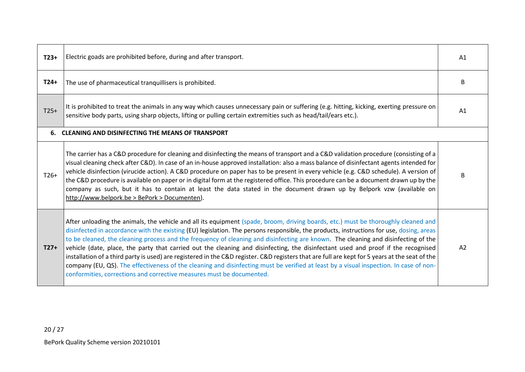| $T23+$ | Electric goads are prohibited before, during and after transport.                                                                                                                                                                                                                                                                                                                                                                                                                                                                                                                                                                                                                                                                                                                                                                                                                                                              |    |  |  |  |
|--------|--------------------------------------------------------------------------------------------------------------------------------------------------------------------------------------------------------------------------------------------------------------------------------------------------------------------------------------------------------------------------------------------------------------------------------------------------------------------------------------------------------------------------------------------------------------------------------------------------------------------------------------------------------------------------------------------------------------------------------------------------------------------------------------------------------------------------------------------------------------------------------------------------------------------------------|----|--|--|--|
| $T24+$ | The use of pharmaceutical tranquillisers is prohibited.                                                                                                                                                                                                                                                                                                                                                                                                                                                                                                                                                                                                                                                                                                                                                                                                                                                                        |    |  |  |  |
| $T25+$ | It is prohibited to treat the animals in any way which causes unnecessary pain or suffering (e.g. hitting, kicking, exerting pressure on<br>sensitive body parts, using sharp objects, lifting or pulling certain extremities such as head/tail/ears etc.).                                                                                                                                                                                                                                                                                                                                                                                                                                                                                                                                                                                                                                                                    |    |  |  |  |
|        | 6. CLEANING AND DISINFECTING THE MEANS OF TRANSPORT                                                                                                                                                                                                                                                                                                                                                                                                                                                                                                                                                                                                                                                                                                                                                                                                                                                                            |    |  |  |  |
| $T26+$ | The carrier has a C&D procedure for cleaning and disinfecting the means of transport and a C&D validation procedure (consisting of a<br>visual cleaning check after C&D). In case of an in-house approved installation: also a mass balance of disinfectant agents intended for<br>vehicle disinfection (virucide action). A C&D procedure on paper has to be present in every vehicle (e.g. C&D schedule). A version of<br>the C&D procedure is available on paper or in digital form at the registered office. This procedure can be a document drawn up by the<br>company as such, but it has to contain at least the data stated in the document drawn up by Belpork vzw (available on<br>http://www.belpork.be > BePork > Documenten).                                                                                                                                                                                    |    |  |  |  |
| $T27+$ | After unloading the animals, the vehicle and all its equipment (spade, broom, driving boards, etc.) must be thoroughly cleaned and<br>disinfected in accordance with the existing (EU) legislation. The persons responsible, the products, instructions for use, dosing, areas<br>to be cleaned, the cleaning process and the frequency of cleaning and disinfecting are known. The cleaning and disinfecting of the<br>vehicle (date, place, the party that carried out the cleaning and disinfecting, the disinfectant used and proof if the recognised<br>installation of a third party is used) are registered in the C&D register. C&D registers that are full are kept for 5 years at the seat of the<br>company (EU, QS). The effectiveness of the cleaning and disinfecting must be verified at least by a visual inspection. In case of non-<br>conformities, corrections and corrective measures must be documented. | A2 |  |  |  |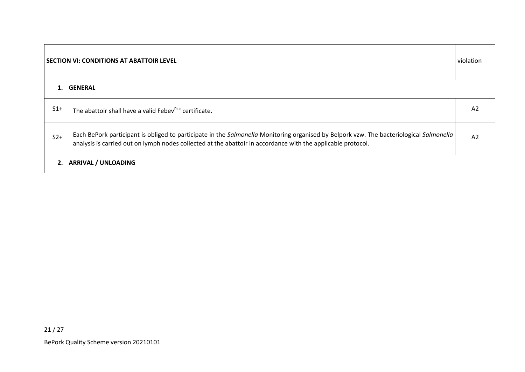| <b>SECTION VI: CONDITIONS AT ABATTOIR LEVEL</b> |                                                                                                                                                                                                                                                         | violation      |
|-------------------------------------------------|---------------------------------------------------------------------------------------------------------------------------------------------------------------------------------------------------------------------------------------------------------|----------------|
|                                                 | 1. GENERAL                                                                                                                                                                                                                                              |                |
| $S1+$                                           | The abattoir shall have a valid Febev <sup>Plus</sup> certificate.                                                                                                                                                                                      | A <sub>2</sub> |
| $S2+$                                           | Each BePork participant is obliged to participate in the Salmonella Monitoring organised by Belpork vzw. The bacteriological Salmonella<br>analysis is carried out on lymph nodes collected at the abattoir in accordance with the applicable protocol. | A <sub>2</sub> |
| 2.                                              | <b>ARRIVAL / UNLOADING</b>                                                                                                                                                                                                                              |                |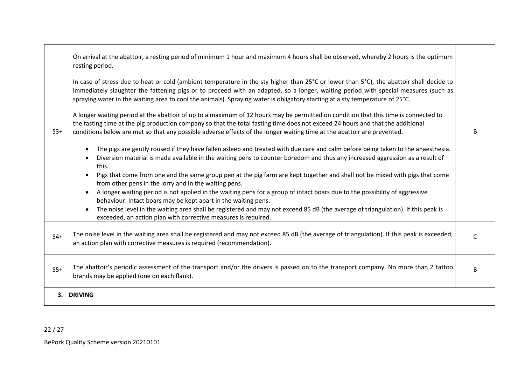|       | On arrival at the abattoir, a resting period of minimum 1 hour and maximum 4 hours shall be observed, whereby 2 hours is the optimum<br>resting period.                                                                                                                                                                                                                                                       |              |
|-------|---------------------------------------------------------------------------------------------------------------------------------------------------------------------------------------------------------------------------------------------------------------------------------------------------------------------------------------------------------------------------------------------------------------|--------------|
|       | In case of stress due to heat or cold (ambient temperature in the sty higher than 25°C or lower than 5°C), the abattoir shall decide to<br>immediately slaughter the fattening pigs or to proceed with an adapted, so a longer, waiting period with special measures (such as<br>spraying water in the waiting area to cool the animals). Spraying water is obligatory starting at a sty temperature of 25°C. |              |
| $S3+$ | A longer waiting period at the abattoir of up to a maximum of 12 hours may be permitted on condition that this time is connected to<br>the fasting time at the pig production company so that the total fasting time does not exceed 24 hours and that the additional<br>conditions below are met so that any possible adverse effects of the longer waiting time at the abattoir are prevented.              | B            |
|       | The pigs are gently roused if they have fallen asleep and treated with due care and calm before being taken to the anaesthesia.<br>Diversion material is made available in the waiting pens to counter boredom and thus any increased aggression as a result of<br>this.                                                                                                                                      |              |
|       | Pigs that come from one and the same group pen at the pig farm are kept together and shall not be mixed with pigs that come<br>from other pens in the lorry and in the waiting pens.                                                                                                                                                                                                                          |              |
|       | A longer waiting period is not applied in the waiting pens for a group of intact boars due to the possibility of aggressive<br>$\bullet$<br>behaviour. Intact boars may be kept apart in the waiting pens.                                                                                                                                                                                                    |              |
|       | The noise level in the waiting area shall be registered and may not exceed 85 dB (the average of triangulation). If this peak is<br>$\bullet$<br>exceeded, an action plan with corrective measures is required.                                                                                                                                                                                               |              |
| $S4+$ | The noise level in the waiting area shall be registered and may not exceed 85 dB (the average of triangulation). If this peak is exceeded,<br>an action plan with corrective measures is required (recommendation).                                                                                                                                                                                           | $\mathsf{C}$ |
| $S5+$ | The abattoir's periodic assessment of the transport and/or the drivers is passed on to the transport company. No more than 2 tattoo<br>brands may be applied (one on each flank).                                                                                                                                                                                                                             | <sub>B</sub> |
|       | 3. DRIVING                                                                                                                                                                                                                                                                                                                                                                                                    |              |

┯

 $\Gamma$ 

┱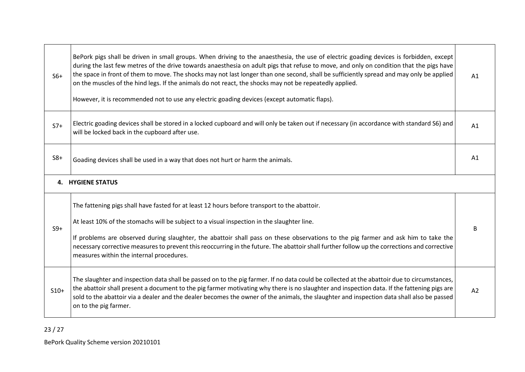| $S6+$  | BePork pigs shall be driven in small groups. When driving to the anaesthesia, the use of electric goading devices is forbidden, except<br>during the last few metres of the drive towards anaesthesia on adult pigs that refuse to move, and only on condition that the pigs have<br>the space in front of them to move. The shocks may not last longer than one second, shall be sufficiently spread and may only be applied<br>on the muscles of the hind legs. If the animals do not react, the shocks may not be repeatedly applied.<br>However, it is recommended not to use any electric goading devices (except automatic flaps). |    |  |  |  |
|--------|------------------------------------------------------------------------------------------------------------------------------------------------------------------------------------------------------------------------------------------------------------------------------------------------------------------------------------------------------------------------------------------------------------------------------------------------------------------------------------------------------------------------------------------------------------------------------------------------------------------------------------------|----|--|--|--|
| $S7+$  | Electric goading devices shall be stored in a locked cupboard and will only be taken out if necessary (in accordance with standard S6) and<br>will be locked back in the cupboard after use.                                                                                                                                                                                                                                                                                                                                                                                                                                             |    |  |  |  |
| $S8+$  | Goading devices shall be used in a way that does not hurt or harm the animals.                                                                                                                                                                                                                                                                                                                                                                                                                                                                                                                                                           |    |  |  |  |
|        | <b>4. HYGIENE STATUS</b>                                                                                                                                                                                                                                                                                                                                                                                                                                                                                                                                                                                                                 |    |  |  |  |
| $S9+$  | The fattening pigs shall have fasted for at least 12 hours before transport to the abattoir.<br>At least 10% of the stomachs will be subject to a visual inspection in the slaughter line.<br>If problems are observed during slaughter, the abattoir shall pass on these observations to the pig farmer and ask him to take the<br>necessary corrective measures to prevent this reoccurring in the future. The abattoir shall further follow up the corrections and corrective<br>measures within the internal procedures.                                                                                                             | B  |  |  |  |
| $S10+$ | The slaughter and inspection data shall be passed on to the pig farmer. If no data could be collected at the abattoir due to circumstances,<br>the abattoir shall present a document to the pig farmer motivating why there is no slaughter and inspection data. If the fattening pigs are<br>sold to the abattoir via a dealer and the dealer becomes the owner of the animals, the slaughter and inspection data shall also be passed<br>on to the pig farmer.                                                                                                                                                                         | A2 |  |  |  |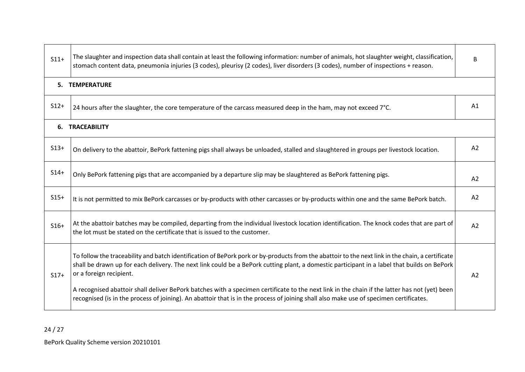| $S11+$ | The slaughter and inspection data shall contain at least the following information: number of animals, hot slaughter weight, classification,<br>stomach content data, pneumonia injuries (3 codes), pleurisy (2 codes), liver disorders (3 codes), number of inspections + reason.                                                                                                                                                                                                                                                                                                                                    |                |  |  |  |
|--------|-----------------------------------------------------------------------------------------------------------------------------------------------------------------------------------------------------------------------------------------------------------------------------------------------------------------------------------------------------------------------------------------------------------------------------------------------------------------------------------------------------------------------------------------------------------------------------------------------------------------------|----------------|--|--|--|
|        | 5. TEMPERATURE                                                                                                                                                                                                                                                                                                                                                                                                                                                                                                                                                                                                        |                |  |  |  |
| $S12+$ | 24 hours after the slaughter, the core temperature of the carcass measured deep in the ham, may not exceed 7°C.                                                                                                                                                                                                                                                                                                                                                                                                                                                                                                       |                |  |  |  |
|        | <b>6. TRACEABILITY</b>                                                                                                                                                                                                                                                                                                                                                                                                                                                                                                                                                                                                |                |  |  |  |
| $S13+$ | On delivery to the abattoir, BePork fattening pigs shall always be unloaded, stalled and slaughtered in groups per livestock location.                                                                                                                                                                                                                                                                                                                                                                                                                                                                                | A2             |  |  |  |
| $S14+$ | Only BePork fattening pigs that are accompanied by a departure slip may be slaughtered as BePork fattening pigs.                                                                                                                                                                                                                                                                                                                                                                                                                                                                                                      | A2             |  |  |  |
| $S15+$ | It is not permitted to mix BePork carcasses or by-products with other carcasses or by-products within one and the same BePork batch.                                                                                                                                                                                                                                                                                                                                                                                                                                                                                  | A2             |  |  |  |
| $S16+$ | At the abattoir batches may be compiled, departing from the individual livestock location identification. The knock codes that are part of<br>the lot must be stated on the certificate that is issued to the customer.                                                                                                                                                                                                                                                                                                                                                                                               | A2             |  |  |  |
| $S17+$ | To follow the traceability and batch identification of BePork pork or by-products from the abattoir to the next link in the chain, a certificate<br>shall be drawn up for each delivery. The next link could be a BePork cutting plant, a domestic participant in a label that builds on BePork<br>or a foreign recipient.<br>A recognised abattoir shall deliver BePork batches with a specimen certificate to the next link in the chain if the latter has not (yet) been<br>recognised (is in the process of joining). An abattoir that is in the process of joining shall also make use of specimen certificates. | A <sub>2</sub> |  |  |  |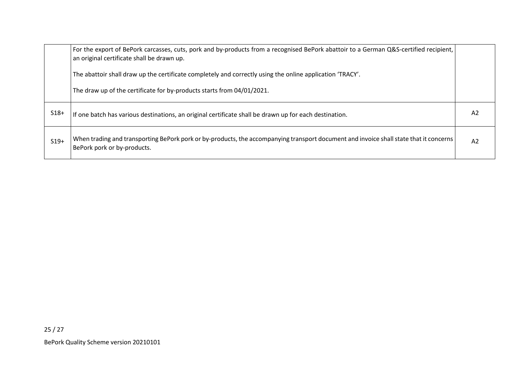|        | For the export of BePork carcasses, cuts, pork and by-products from a recognised BePork abattoir to a German Q&S-certified recipient,<br>an original certificate shall be drawn up. |    |  |
|--------|-------------------------------------------------------------------------------------------------------------------------------------------------------------------------------------|----|--|
|        | The abattoir shall draw up the certificate completely and correctly using the online application 'TRACY'.                                                                           |    |  |
|        | The draw up of the certificate for by-products starts from 04/01/2021.                                                                                                              |    |  |
| $S18+$ | If one batch has various destinations, an original certificate shall be drawn up for each destination.                                                                              | A2 |  |
| $S19+$ | When trading and transporting BePork pork or by-products, the accompanying transport document and invoice shall state that it concerns<br>BePork pork or by-products.               | A2 |  |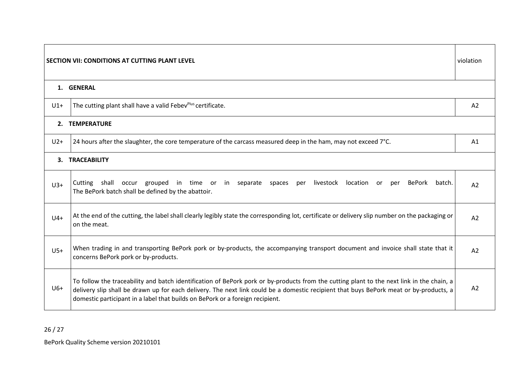|       | SECTION VII: CONDITIONS AT CUTTING PLANT LEVEL                                                                                                                                                                                                                                                                                                                       | violation      |
|-------|----------------------------------------------------------------------------------------------------------------------------------------------------------------------------------------------------------------------------------------------------------------------------------------------------------------------------------------------------------------------|----------------|
|       | 1. GENERAL                                                                                                                                                                                                                                                                                                                                                           |                |
| $U1+$ | The cutting plant shall have a valid Febev <sup>Plus</sup> certificate.                                                                                                                                                                                                                                                                                              | A2             |
|       | 2. TEMPERATURE                                                                                                                                                                                                                                                                                                                                                       |                |
| $U2+$ | 24 hours after the slaughter, the core temperature of the carcass measured deep in the ham, may not exceed 7°C.                                                                                                                                                                                                                                                      | A1             |
|       | 3. TRACEABILITY                                                                                                                                                                                                                                                                                                                                                      |                |
| $U3+$ | Cutting shall occur grouped in time or in separate spaces<br>livestock<br>location<br>BePork<br>per<br>batch.<br>or -<br>per<br>The BePork batch shall be defined by the abattoir.                                                                                                                                                                                   | A <sub>2</sub> |
| $U4+$ | At the end of the cutting, the label shall clearly legibly state the corresponding lot, certificate or delivery slip number on the packaging or<br>on the meat.                                                                                                                                                                                                      | A2             |
| $U5+$ | When trading in and transporting BePork pork or by-products, the accompanying transport document and invoice shall state that it<br>concerns BePork pork or by-products.                                                                                                                                                                                             | A2             |
| $U6+$ | To follow the traceability and batch identification of BePork pork or by-products from the cutting plant to the next link in the chain, a<br>delivery slip shall be drawn up for each delivery. The next link could be a domestic recipient that buys BePork meat or by-products, a<br>domestic participant in a label that builds on BePork or a foreign recipient. | A <sub>2</sub> |